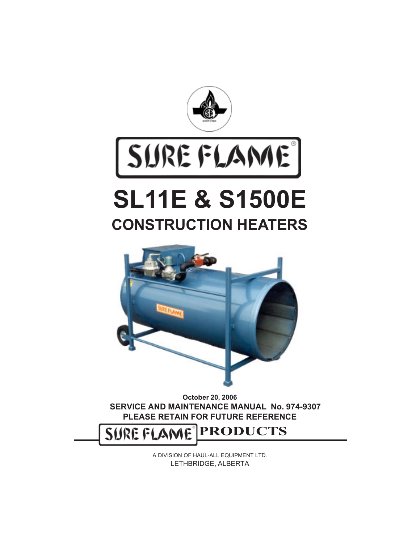

# SUREFLAME

## **SL11E & S1500E CONSTRUCTION HEATERS**



**October 20, 2006 SERVICE AND MAINTENANCE MANUAL No. 974-9307 PLEASE RETAIN FOR FUTURE REFERENCE**

SUREFLAME **PRODUCTS**

> A DIVISION OF HAUL-ALL EQUIPMENT LTD. LETHBRIDGE, ALBERTA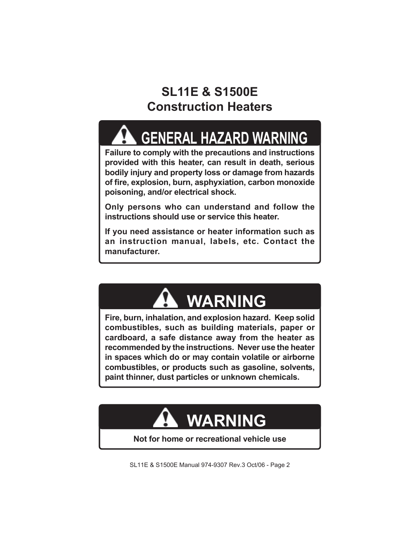## **SL11E & S1500E Construction Heaters**

## **GENERAL HAZARD WARNING**

**Failure to comply with the precautions and instructions provided with this heater, can result in death, serious bodily injury and property loss or damage from hazards of fire, explosion, burn, asphyxiation, carbon monoxide poisoning, and/or electrical shock.**

**Only persons who can understand and follow the instructions should use or service this heater.**

**If you need assistance or heater information such as an instruction manual, labels, etc. Contact the manufacturer.**

## **WARNING**

**Fire, burn, inhalation, and explosion hazard. Keep solid combustibles, such as building materials, paper or cardboard, a safe distance away from the heater as recommended by the instructions. Never use the heater in spaces which do or may contain volatile or airborne combustibles, or products such as gasoline, solvents, paint thinner, dust particles or unknown chemicals.**



**Not for home or recreational vehicle use**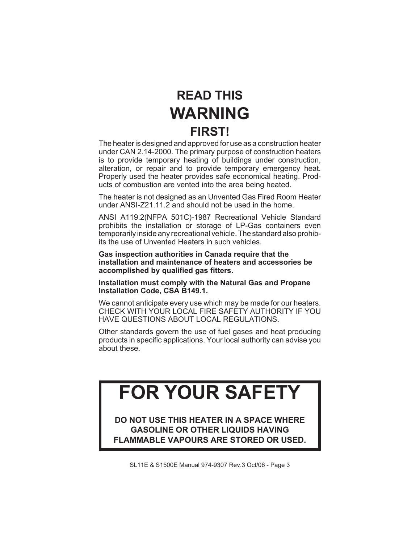## **READ THIS WARNING FIRST!**

The heater is designed and approved for use as a construction heater under CAN 2.14-2000. The primary purpose of construction heaters is to provide temporary heating of buildings under construction, alteration, or repair and to provide temporary emergency heat. Properly used the heater provides safe economical heating. Products of combustion are vented into the area being heated.

The heater is not designed as an Unvented Gas Fired Room Heater under ANSI-Z21.11.2 and should not be used in the home.

ANSI A119.2(NFPA 501C)-1987 Recreational Vehicle Standard prohibits the installation or storage of LP-Gas containers even temporarily inside any recreational vehicle. The standard also prohibits the use of Unvented Heaters in such vehicles.

**Gas inspection authorities in Canada require that the installation and maintenance of heaters and accessories be accomplished by qualified gas fitters.**

**Installation must comply with the Natural Gas and Propane Installation Code, CSA B149.1.**

We cannot anticipate every use which may be made for our heaters. CHECK WITH YOUR LOCAL FIRE SAFETY AUTHORITY IF YOU HAVE QUESTIONS ABOUT LOCAL REGULATIONS.

Other standards govern the use of fuel gases and heat producing products in specific applications. Your local authority can advise you about these.

## **FOR YOUR SAFETY**

**DO NOT USE THIS HEATER IN A SPACE WHERE GASOLINE OR OTHER LIQUIDS HAVING FLAMMABLE VAPOURS ARE STORED OR USED.**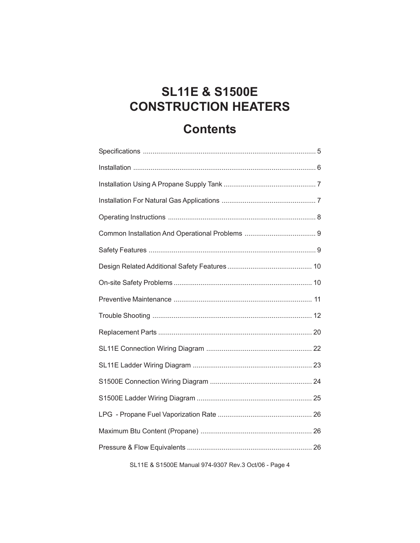## **SL11E & S1500E CONSTRUCTION HEATERS**

#### **Contents**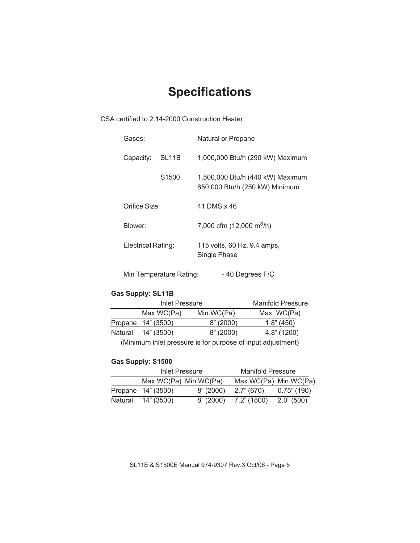## **Specifications**

CSA certified to 2.14-2000 Construction Heater

| Gases:             |                         | Natural or Propane                                                 |
|--------------------|-------------------------|--------------------------------------------------------------------|
| Capacity:          | SL <sub>11</sub> B      | 1,000,000 Btu/h (290 kW) Maximum                                   |
|                    | S1500                   | 1,500,000 Btu/h (440 kW) Maximum<br>850,000 Btu/h (250 kW) Minimum |
| Orifice Size:      |                         | 41 DMS x 46                                                        |
| Blower:            |                         | 7,000 cfm $(12,000 \text{ m}^3/\text{h})$                          |
| Electrical Rating: |                         | 115 volts, 60 Hz, 9.4 amps,<br>Single Phase                        |
|                    | Min Temperature Rating: | -40 Degrees F/C                                                    |

#### **Gas Supply: SL11B**

| <b>Inlet Pressure</b> |                                                                                          | <b>Manifold Pressure</b> |
|-----------------------|------------------------------------------------------------------------------------------|--------------------------|
| Max.WC(Pa)            | Min.WC(Pa)                                                                               | Max. WC(Pa)              |
| Propane 14" (3500)    | 8" (2000)                                                                                | $1.8$ " (450)            |
| Natural 14" (3500)    | 8" (2000)                                                                                | $4.8$ " (1200)           |
|                       | 78. Martin concert that a basic concert of the concert of a concert to a streether contA |                          |

(Minimum inlet pressure is for purpose of input adjustment)

#### **Gas Supply: S1500**

| Inlet Pressure        |           | <b>Manifold Pressure</b> |                |
|-----------------------|-----------|--------------------------|----------------|
| Max.WC(Pa) Min.WC(Pa) |           | Max.WC(Pa) Min.WC(Pa)    |                |
| Propane 14" (3500)    | 8" (2000) | 2.7" (670)               | $0.75$ " (190) |
| Natural 14" (3500)    | 8" (2000) | 7.2" (1800)              | $2.0$ " (500)  |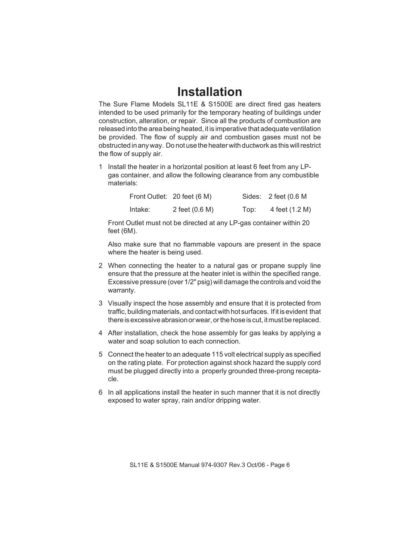#### **Installation**

The Sure Flame Models SL11E & S1500E are direct fired gas heaters intended to be used primarily for the temporary heating of buildings under construction, alteration, or repair. Since all the products of combustion are released into the area being heated, it is imperative that adequate ventilation be provided. The flow of supply air and combustion gases must not be obstructed in any way. Do not use the heater with ductwork as this will restrict the flow of supply air.

1 Install the heater in a horizontal position at least 6 feet from any LPgas container, and allow the following clearance from any combustible materials:

|         | Front Outlet: 20 feet (6 M) |      | Sides: $2$ feet (0.6 M |
|---------|-----------------------------|------|------------------------|
| Intake: | 2 feet (0.6 M)              | Top: | 4 feet (1.2 M)         |

Front Outlet must not be directed at any LP-gas container within 20 feet (6M).

Also make sure that no flammable vapours are present in the space where the heater is being used.

- 2 When connecting the heater to a natural gas or propane supply line ensure that the pressure at the heater inlet is within the specified range. Excessive pressure (over 1/2" psig) will damage the controls and void the warranty.
- 3 Visually inspect the hose assembly and ensure that it is protected from traffic, building materials, and contact with hot surfaces. If it is evident that there is excessive abrasion or wear, or the hose is cut, it must be replaced.
- 4 After installation, check the hose assembly for gas leaks by applying a water and soap solution to each connection.
- 5 Connect the heater to an adequate 115 volt electrical supply as specified on the rating plate. For protection against shock hazard the supply cord must be plugged directly into a properly grounded three-prong receptacle.
- 6 In all applications install the heater in such manner that it is not directly exposed to water spray, rain and/or dripping water.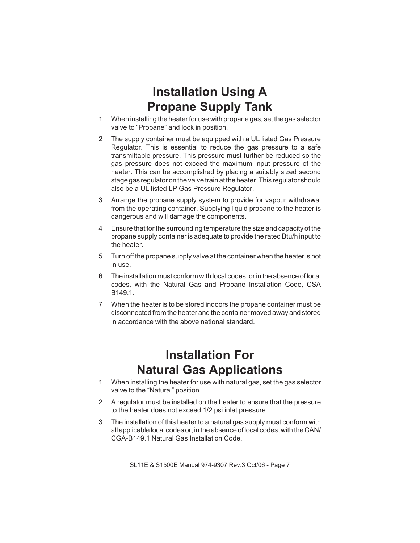#### **Installation Using A Propane Supply Tank**

- 1 When installing the heater for use with propane gas, set the gas selector valve to "Propane" and lock in position.
- 2 The supply container must be equipped with a UL listed Gas Pressure Regulator. This is essential to reduce the gas pressure to a safe transmittable pressure. This pressure must further be reduced so the gas pressure does not exceed the maximum input pressure of the heater. This can be accomplished by placing a suitably sized second stage gas regulator on the valve train at the heater. This regulator should also be a UL listed LP Gas Pressure Regulator.
- 3 Arrange the propane supply system to provide for vapour withdrawal from the operating container. Supplying liquid propane to the heater is dangerous and will damage the components.
- 4 Ensure that for the surrounding temperature the size and capacity of the propane supply container is adequate to provide the rated Btu/h input to the heater.
- 5 Turn off the propane supply valve at the container when the heater is not in use.
- 6 The installation must conform with local codes, or in the absence of local codes, with the Natural Gas and Propane Installation Code, CSA B149.1.
- 7 When the heater is to be stored indoors the propane container must be disconnected from the heater and the container moved away and stored in accordance with the above national standard.

#### **Installation For Natural Gas Applications**

- 1 When installing the heater for use with natural gas, set the gas selector valve to the "Natural" position.
- 2 A regulator must be installed on the heater to ensure that the pressure to the heater does not exceed 1/2 psi inlet pressure.
- 3 The installation of this heater to a natural gas supply must conform with all applicable local codes or, in the absence of local codes, with the CAN/ CGA-B149.1 Natural Gas Installation Code.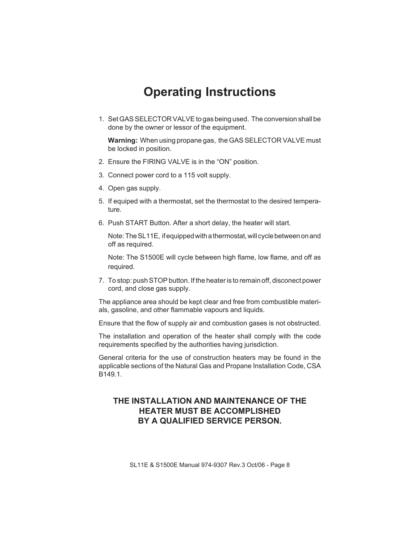#### **Operating Instructions**

1. Set GAS SELECTOR VALVE to gas being used. The conversion shall be done by the owner or lessor of the equipment.

**Warning:** When using propane gas, the GAS SELECTOR VALVE must be locked in position.

- 2. Ensure the FIRING VALVE is in the "ON" position.
- 3. Connect power cord to a 115 volt supply.
- 4. Open gas supply.
- 5. If equiped with a thermostat, set the thermostat to the desired temperature.
- 6. Push START Button. After a short delay, the heater will start.

Note: The SL11E, if equipped with a thermostat, will cycle between on and off as required.

Note: The S1500E will cycle between high flame, low flame, and off as required.

7. To stop: push STOP button. If the heater is to remain off, disconect power cord, and close gas supply.

The appliance area should be kept clear and free from combustible materials, gasoline, and other flammable vapours and liquids.

Ensure that the flow of supply air and combustion gases is not obstructed.

The installation and operation of the heater shall comply with the code requirements specified by the authorities having jurisdiction.

General criteria for the use of construction heaters may be found in the applicable sections of the Natural Gas and Propane Installation Code, CSA B149.1.

#### **THE INSTALLATION AND MAINTENANCE OF THE HEATER MUST BE ACCOMPLISHED BY A QUALIFIED SERVICE PERSON.**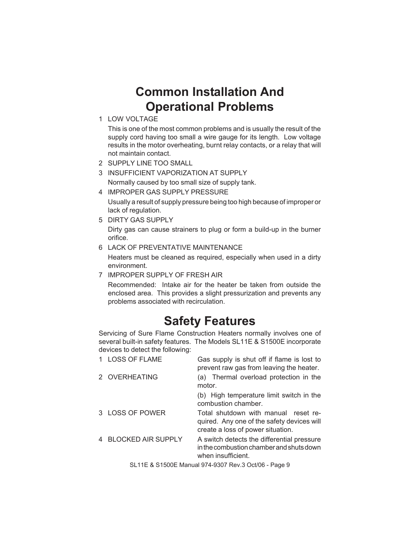#### **Common Installation And Operational Problems**

1 LOW VOLTAGE

This is one of the most common problems and is usually the result of the supply cord having too small a wire gauge for its length. Low voltage results in the motor overheating, burnt relay contacts, or a relay that will not maintain contact.

- 2 SUPPLY LINE TOO SMALL
- 3 INSUFFICIENT VAPORIZATION AT SUPPLY

Normally caused by too small size of supply tank.

- 4 IMPROPER GAS SUPPLY PRESSURE Usually a result of supply pressure being too high because of improper or lack of regulation.
- 5 DIRTY GAS SUPPLY

Dirty gas can cause strainers to plug or form a build-up in the burner orifice.

- 6 LACK OF PREVENTATIVE MAINTENANCE Heaters must be cleaned as required, especially when used in a dirty environment.
- 7 IMPROPER SUPPLY OF FRESH AIR

Recommended: Intake air for the heater be taken from outside the enclosed area. This provides a slight pressurization and prevents any problems associated with recirculation.

#### **Safety Features**

Servicing of Sure Flame Construction Heaters normally involves one of several built-in safety features. The Models SL11E & S1500E incorporate devices to detect the following:

| <b>LOSS OF FLAME</b>      | Gas supply is shut off if flame is lost to<br>prevent raw gas from leaving the heater.                                  |
|---------------------------|-------------------------------------------------------------------------------------------------------------------------|
| 2 OVERHEATING             | (a) Thermal overload protection in the<br>motor.                                                                        |
|                           | (b) High temperature limit switch in the<br>combustion chamber.                                                         |
| 3 LOSS OF POWER           | Total shutdown with manual reset re-<br>quired. Any one of the safety devices will<br>create a loss of power situation. |
| <b>BLOCKED AIR SUPPLY</b> | A switch detects the differential pressure<br>in the combustion chamber and shuts down<br>when insufficient.            |
|                           | $CI 11E 8 21E00E M2B11074 0307 B212 061/06 0$                                                                           |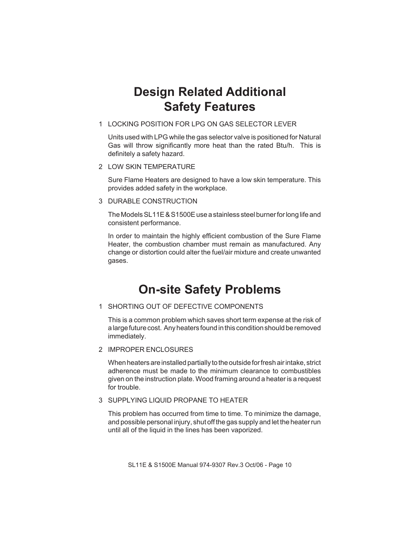#### **Design Related Additional Safety Features**

1 LOCKING POSITION FOR LPG ON GAS SELECTOR LEVER

Units used with LPG while the gas selector valve is positioned for Natural Gas will throw significantly more heat than the rated Btu/h. This is definitely a safety hazard.

2 LOW SKIN TEMPERATURE

Sure Flame Heaters are designed to have a low skin temperature. This provides added safety in the workplace.

3 DURABLE CONSTRUCTION

The Models SL11E & S1500E use a stainless steel burner for long life and consistent performance.

In order to maintain the highly efficient combustion of the Sure Flame Heater, the combustion chamber must remain as manufactured. Any change or distortion could alter the fuel/air mixture and create unwanted gases.

#### **On-site Safety Problems**

#### 1 SHORTING OUT OF DEFECTIVE COMPONENTS

This is a common problem which saves short term expense at the risk of a large future cost. Any heaters found in this condition should be removed immediately.

2 IMPROPER ENCLOSURES

When heaters are installed partially to the outside for fresh air intake, strict adherence must be made to the minimum clearance to combustibles given on the instruction plate. Wood framing around a heater is a request for trouble.

#### 3 SUPPLYING LIQUID PROPANE TO HEATER

This problem has occurred from time to time. To minimize the damage, and possible personal injury, shut off the gas supply and let the heater run until all of the liquid in the lines has been vaporized.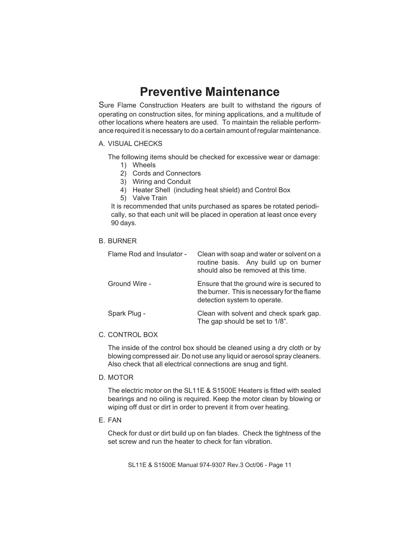#### **Preventive Maintenance**

Sure Flame Construction Heaters are built to withstand the rigours of operating on construction sites, for mining applications, and a multitude of other locations where heaters are used. To maintain the reliable performance required it is necessary to do a certain amount of regular maintenance.

#### A. VISUAL CHECKS

The following items should be checked for excessive wear or damage:

- 1) Wheels
- 2) Cords and Connectors
- 3) Wiring and Conduit
- 4) Heater Shell (including heat shield) and Control Box
- 5) Valve Train

It is recommended that units purchased as spares be rotated periodically, so that each unit will be placed in operation at least once every 90 days.

#### B. BURNER

| Flame Rod and Insulator - | Clean with soap and water or solvent on a<br>routine basis. Any build up on burner<br>should also be removed at this time. |
|---------------------------|----------------------------------------------------------------------------------------------------------------------------|
| Ground Wire -             | Ensure that the ground wire is secured to<br>the burner. This is necessary for the flame<br>detection system to operate.   |
| Spark Plug -              | Clean with solvent and check spark gap.<br>The gap should be set to 1/8".                                                  |

#### C. CONTROL BOX

The inside of the control box should be cleaned using a dry cloth or by blowing compressed air. Do not use any liquid or aerosol spray cleaners. Also check that all electrical connections are snug and tight.

D. MOTOR

The electric motor on the SL11E & S1500E Heaters is fitted with sealed bearings and no oiling is required. Keep the motor clean by blowing or wiping off dust or dirt in order to prevent it from over heating.

E. FAN

Check for dust or dirt build up on fan blades. Check the tightness of the set screw and run the heater to check for fan vibration.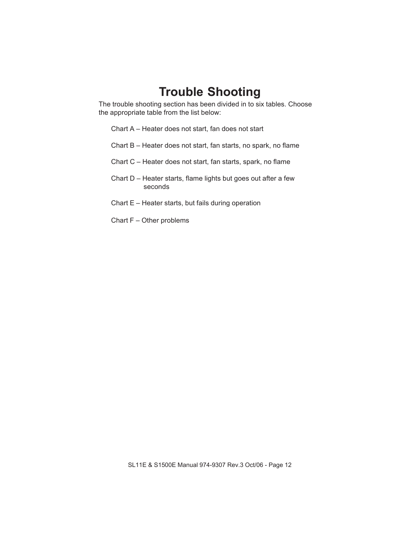#### **Trouble Shooting**

The trouble shooting section has been divided in to six tables. Choose the appropriate table from the list below:

Chart A – Heater does not start, fan does not start

- Chart B Heater does not start, fan starts, no spark, no flame
- Chart C Heater does not start, fan starts, spark, no flame
- Chart D Heater starts, flame lights but goes out after a few seconds
- Chart E Heater starts, but fails during operation
- Chart F Other problems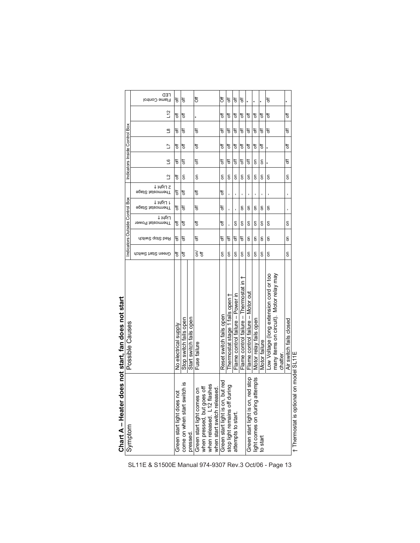| <b>フロDBリニー C 1 IBII)</b>                                          | <b>Des Install Gan Library Start</b>       |                    | Indicators Outside Control Box |                              |                                |                              | Indicators Inside Control Box |    |   |               |    |                      |
|-------------------------------------------------------------------|--------------------------------------------|--------------------|--------------------------------|------------------------------|--------------------------------|------------------------------|-------------------------------|----|---|---------------|----|----------------------|
| Symptom                                                           | Possible Causes                            |                    |                                |                              |                                |                              |                               |    |   |               |    |                      |
|                                                                   |                                            | Green Start Switch | Red Stop Switch                | רוִ6µ4 ∔<br>Thermostat Power | ן רוִ6µ4 ∔<br>∍pst2 tsteomerlT | 2 Γ!Φμ ∔<br>∍pst2 tsteommer∏ | $\Delta$                      | ്വ | コ | $\frac{8}{1}$ | 12 | rED<br>Flame Control |
| Green start light does not                                        | No electrical supply                       | t                  | ₩                              | 5f                           | ₩                              | ₩                            | ₩                             | ₩  | ₩ | ₩             | ð  | t                    |
| come on when start switch is                                      | Stop switch fails open                     | ₹                  | ₩                              | đ                            | ₩                              | đ                            | g                             | đ  | đ | đ             | ₹  | ₹                    |
| pressed.                                                          | Start switch fails open                    |                    |                                |                              |                                |                              |                               |    |   |               |    |                      |
| Green start light comes on                                        | Fuse failure                               | ξ¥                 | đ                              | đ                            | F                              | ₹                            | S                             | đ  | F | ₹             |    | <b>bf</b>            |
| when pressed, but goes off<br>when released. L12 flashes          |                                            |                    |                                |                              |                                |                              |                               |    |   |               |    |                      |
| when start switch released.                                       |                                            |                    |                                |                              |                                |                              |                               |    |   |               |    |                      |
|                                                                   | Reset switch fails open                    | δ                  | ð#                             | <sup>0</sup>                 | ₩                              | ð                            | g                             | ₩  | đ | ₹             | t  | ð#                   |
| Green start light is on, but red<br>stop light remains off during | Thermostat stage 1 fails open †            | δ                  | ₩                              |                              | ı                              |                              | g                             | đ  | ₩ | đ             | ₹  | ₹                    |
| attempts to start.                                                | Flame control failure - Power in           | δ                  | 5f                             | δ                            |                                |                              | g                             | ₩  | ₩ | ₩             | t  | t                    |
|                                                                   | +<br>Flame control failure - Thermostat in | δ                  | ₩                              | 5                            | 5                              |                              | g                             | đ  | F | F             | đ  | ₹                    |
| Green start light is on, red stop                                 | Flame control failure - Motor out          | 5                  | 5                              | δ                            | ı<br>5                         |                              | g                             | đ  | đ | ₹             | ₹  |                      |
| light comes on during attempts                                    | Motor relay fails open                     | 5                  | 5                              | δ                            | ı<br>5                         |                              | g                             | g  | ₩ | ₩             | t  |                      |
| to start                                                          | Motor failure                              | δ                  | 5                              | δ                            | ı<br>g                         |                              | g                             | δ  | đ | ₹             | ₹  |                      |
|                                                                   | Low Voltage (long extension cord or too    | δ                  | δ                              | δ                            | g                              |                              | g                             |    |   | ₩             | đ  | t                    |
|                                                                   | many items on circuit). Motor relay may    |                    |                                |                              |                                |                              |                               |    |   |               |    |                      |
|                                                                   | chatter                                    |                    |                                |                              |                                |                              |                               |    |   |               |    |                      |
|                                                                   | Air switch fails closed                    | δ                  | 5                              | δ                            | ı                              |                              | g                             | ₩  | ₩ | ð             | t  |                      |
| + Thermostat is optional                                          | on model SI 11F                            |                    |                                |                              |                                |                              |                               |    |   |               |    |                      |

Chart A – Heater does not start, fan does not start **Chart A – Heater does not start, fan does not start** 

SL11E & S1500E Manual 974-9307 Rev.3 Oct/06 - Page 13

† Thermostat is optional on model SL11E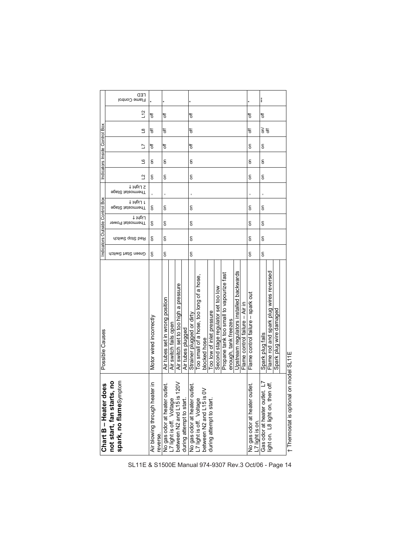| Səc<br>Chart B - Heater do                                                            | Possible Causes                          |                    | Indicators Outside Control Box |                              |                            |                                |   |    | Indicators Inside Control Box |                             |    |                             |
|---------------------------------------------------------------------------------------|------------------------------------------|--------------------|--------------------------------|------------------------------|----------------------------|--------------------------------|---|----|-------------------------------|-----------------------------|----|-----------------------------|
| not start, fan starts, no                                                             |                                          |                    |                                |                              |                            |                                |   |    |                               |                             |    |                             |
| spark, no flameSymptom                                                                |                                          | Green Start Switch | Red Stop Switch                | רוִ6µו ‡<br>Thermostat Power | 1 τιβμ1<br>∋psi2 tsteomenT | 2 Light †<br>∋pst2 tsteomnerlT | ₫ | ്വ | ב                             | $\mathbf{S}$                | 12 | <b>CED</b><br>Flame Control |
| Air blowing through heater in<br>reverse.                                             | Motor wired incorrectly                  | 5                  | δ                              | 5                            | g                          |                                | g | g  | ₹                             | ₹                           | ₩  |                             |
| No gas odor at heater outlet.<br>L7 light is off. Voltage                             | Air tubes set in wrong position          | δ                  | ۵                              | 5                            | g                          |                                | g | g  | đ                             | đ                           | ₩  |                             |
|                                                                                       | Air switch fails oper                    |                    |                                |                              |                            |                                |   |    |                               |                             |    |                             |
| $\approx$                                                                             | Air switch set to too high a pressure    |                    |                                |                              |                            |                                |   |    |                               |                             |    |                             |
| between N2 and L15 is 1<br>during attempt to start.                                   | Air tubes plugged                        |                    |                                |                              |                            |                                |   |    |                               |                             |    |                             |
|                                                                                       | Strainer plugged or dirty                | δ                  | δ                              | δ                            | S                          |                                | 5 | g  | ₩                             | ₩                           | ₩  |                             |
| No gas odor at heater outlet.<br>L7 light is off. Voltage<br>between N2 and L15 is 0V | Too small of a hose, too long of a hose, |                    |                                |                              |                            |                                |   |    |                               |                             |    |                             |
|                                                                                       | blocked hose                             |                    |                                |                              |                            |                                |   |    |                               |                             |    |                             |
| during attempt to start.                                                              | Too low of inlet pressure                |                    |                                |                              |                            |                                |   |    |                               |                             |    |                             |
|                                                                                       | Second stage regulator set too low       |                    |                                |                              |                            |                                |   |    |                               |                             |    |                             |
|                                                                                       | Propane tank too small to vapourize fast |                    |                                |                              |                            |                                |   |    |                               |                             |    |                             |
|                                                                                       | enough, tank freezes                     |                    |                                |                              |                            |                                |   |    |                               |                             |    |                             |
|                                                                                       | Upstream regulators installed backwards  |                    |                                |                              |                            |                                |   |    |                               |                             |    |                             |
|                                                                                       | Flame control failure $-$ Air in         |                    |                                |                              |                            |                                |   |    |                               |                             |    |                             |
| No gas odor at heater outlet.<br>L7 light is on.                                      | Flame control failure - spark out        | δ                  | δ                              | 5                            | g                          |                                | 둥 | g  | g                             | ₩                           | ₩  |                             |
| Gas odor at heater outlet. L7                                                         | Spark plug fails                         | $\overline{5}$     | δ                              | 5                            | g                          |                                | 둥 | g  | δ                             | $\widetilde{\varepsilon}$ ಕ | ₩  | ***                         |
| light on. L8 light on, then off.                                                      | Flame rod and spark plug wires reversed  |                    |                                |                              |                            |                                |   |    |                               |                             |    |                             |
|                                                                                       | Spark plug wire damaged                  |                    |                                |                              |                            |                                |   |    |                               |                             |    |                             |
|                                                                                       |                                          |                    |                                |                              |                            |                                |   |    |                               |                             |    |                             |
| t Tharmoetat is ontional                                                              | an mada SI 11E                           |                    |                                |                              |                            |                                |   |    |                               |                             |    |                             |

Thermostat is optional on model SL11E † Thermostat is optional on model SL11E  $\overline{\phantom{a}}$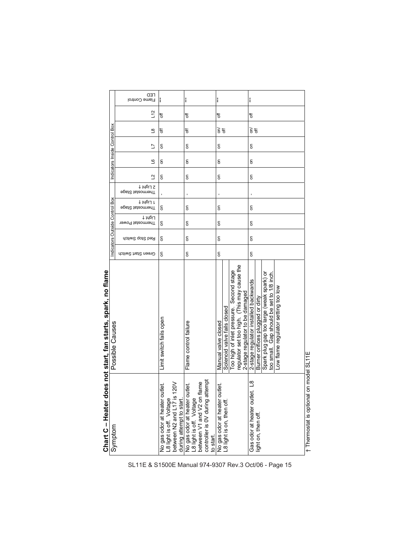| Chart C - Heater d                                                                                                                      | loes not start, fan starts, spark, no flame                                                                                                                                                               |                    |                 |                                                        |                                            |                |                               |                |                          |    |                      |
|-----------------------------------------------------------------------------------------------------------------------------------------|-----------------------------------------------------------------------------------------------------------------------------------------------------------------------------------------------------------|--------------------|-----------------|--------------------------------------------------------|--------------------------------------------|----------------|-------------------------------|----------------|--------------------------|----|----------------------|
| Symptom                                                                                                                                 | Possible Causes                                                                                                                                                                                           |                    |                 | Indicators Outside Control Box                         |                                            |                | Indicators Inside Control Box |                |                          |    |                      |
|                                                                                                                                         |                                                                                                                                                                                                           | Green Start Switch | Red Stop Switch | <b>Spat2</b> tstaomedT<br>רוִ6µו ∔<br>Thermostat Power | ‡ 14ріЈ 2<br>Fhermostal Stage<br>1 IubiJ 1 | ₫              | ്വ                            | 5              | $\mathbf{a}$             | 12 | CED<br>Flame Control |
| No gas odor at heater outlet.<br>L8 light is off. Voltage<br>between N2 and L17 is 120V<br>during attempt to start.                     | Limit switch fails open                                                                                                                                                                                   | g                  | δ               | g<br>5                                                 |                                            | g              | g                             | S              | ₩                        | ₩  | ***                  |
| controller is OV during attempt<br>No gas odor at heater outlet.<br>L8 light is off. Voltage<br>between V1 and V2 on flame<br>to start. | Flame control failure                                                                                                                                                                                     | 5                  | 5               | $\overline{5}$<br>5                                    |                                            | $\overline{5}$ | δ                             | $\overline{5}$ | ₹                        | ₹  | ***                  |
| No gas odor at heater outlet.<br>L8 light is on, then off.                                                                              | Too high of inlet pressure. Second stage<br>Solenoid valve fails closed<br>Manual valve closed                                                                                                            | 5                  | δ               | S<br>δ                                                 |                                            | δ              | δ                             | S              | $\widetilde{\mathbf{e}}$ | ₩  | ***                  |
|                                                                                                                                         | regulator set too high. (This may cause the<br>2-stage regulator to be damaged                                                                                                                            |                    |                 |                                                        |                                            |                |                               |                |                          |    |                      |
| et L8<br>Gas odor at heater outle<br>light on, then off.                                                                                | Spark plug gap too large (weak spark) or<br>too small. Gap should be set to 1/8 inch.<br>2-stage regulator installed backwards<br>Low flame regulator setting too low<br>Burner orifices plugged or dirty | δ                  | δ               | g<br>5                                                 |                                            | g              | g                             | g              | हे इ                     | ₩  | ***                  |
| t Thermostat is optional on model SL11E                                                                                                 |                                                                                                                                                                                                           |                    |                 |                                                        |                                            |                |                               |                |                          |    |                      |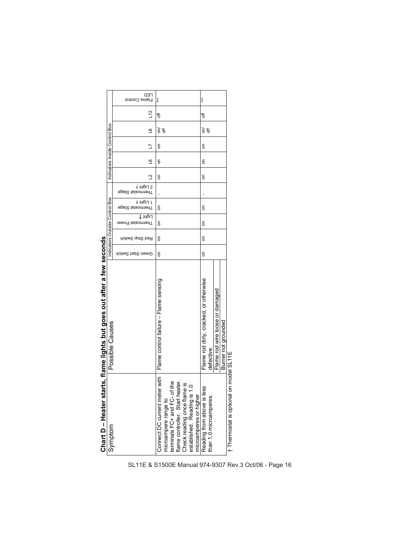|                                                                                         | Chart D - Heater starts, flame lights but goes out after a few seconds<br>Possible Causes |                    | Indicators Outside Control Box |                              |                                                    |                | Indicators Inside Control Box |   |        |    |                      |
|-----------------------------------------------------------------------------------------|-------------------------------------------------------------------------------------------|--------------------|--------------------------------|------------------------------|----------------------------------------------------|----------------|-------------------------------|---|--------|----|----------------------|
| Symptom                                                                                 |                                                                                           |                    |                                |                              |                                                    |                |                               |   |        |    |                      |
|                                                                                         |                                                                                           | Green Start Switch | Red Stop Switch                | רוִ6µן ‡<br>Thermostat Power | ∋psi2 isizomenT<br>1 בוֹβוֹוּ ‡<br>∋psi2 isizomenT | Ľ<br>2 Light † | ്വ                            | ℶ | ള      | 12 | rED<br>Flame Control |
| ter with<br>Connect DC current me                                                       | Flame control failure - Flame sensing                                                     | 등                  | δ                              | 등                            | g                                                  | g              | g                             | g | हें 'इ | ₹  | $***$                |
|                                                                                         |                                                                                           |                    |                                |                              |                                                    |                |                               |   |        |    |                      |
| microampere range to<br>terminals FC+ and FC- of the<br>flame controller. Start heater. |                                                                                           |                    |                                |                              |                                                    |                |                               |   |        |    |                      |
|                                                                                         |                                                                                           |                    |                                |                              |                                                    |                |                               |   |        |    |                      |
|                                                                                         |                                                                                           |                    |                                |                              |                                                    |                |                               |   |        |    |                      |
| Check reading once flame is<br>established. Reading is 1.0                              |                                                                                           |                    |                                |                              |                                                    |                |                               |   |        |    |                      |
| microamperes or higher                                                                  |                                                                                           |                    |                                |                              |                                                    |                |                               |   |        |    |                      |
| less<br>Reading from above is l<br>than 1.0 microamperes.                               | Flame rod dirty, cracked, or otherwise                                                    | ã                  | S                              | S                            | g                                                  | g              | g                             | g | हें 'इ | ð  | ***                  |
|                                                                                         | defective.                                                                                |                    |                                |                              |                                                    |                |                               |   |        |    |                      |
|                                                                                         | Flame rod wire loose or damaged                                                           |                    |                                |                              |                                                    |                |                               |   |        |    |                      |
|                                                                                         | Burner not grounded                                                                       |                    |                                |                              |                                                    |                |                               |   |        |    |                      |
| † Thermostat is optiona                                                                 | on model SL11E                                                                            |                    |                                |                              |                                                    |                |                               |   |        |    |                      |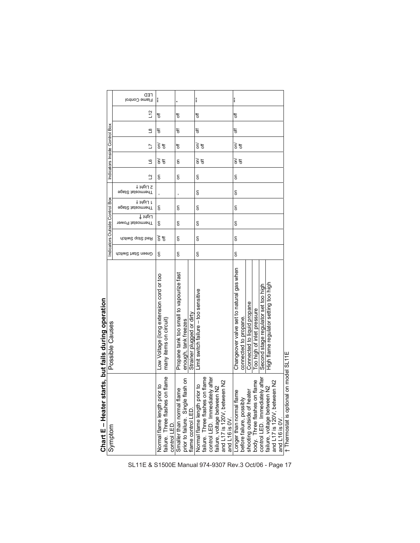| Chart E - Heater starts, but fails during operation                                                                                                                                                                                    |                                                                                                  |                    |                 |                                |                                |                              |                |                                    |                                            |                |    |                      |
|----------------------------------------------------------------------------------------------------------------------------------------------------------------------------------------------------------------------------------------|--------------------------------------------------------------------------------------------------|--------------------|-----------------|--------------------------------|--------------------------------|------------------------------|----------------|------------------------------------|--------------------------------------------|----------------|----|----------------------|
| Symptom                                                                                                                                                                                                                                | Possible Causes                                                                                  |                    |                 | Indicators Outside Control Box |                                |                              |                |                                    | Indicators Inside Control Box              |                |    |                      |
|                                                                                                                                                                                                                                        |                                                                                                  | Green Start Switch | Red Stop Switch | רוִ6µן ‡<br>Thermostat Power   | 1 Light †<br>∋pst2 tsteomnerlT | † ὶηρἱ Σ<br>∍pst2 tsteommenT | $\overline{a}$ | ്വ                                 | ₫                                          | $\overline{8}$ | 51 | CED<br>Flame Control |
| ior to<br>Normal flame length pr                                                                                                                                                                                                       | Low Voltage (long extension cord or too<br>many items on circuit)                                | ε                  | 하               | ε                              | g                              |                              | g              | $\widetilde{\mathsf{s}}$<br>ð      | $\widetilde{\mathsf{s}}$<br>$\overline{5}$ | ₩              | đ  | ***                  |
| failure. Three flashes on flame<br>control LED.<br>Smaller than normal flame<br>prior to failure. Single flash on                                                                                                                      | Propane tank too small to vapourize fast<br>Strainer plugged or dirty<br>enough, tank freezes    | δ                  | 5               | δ                              | g                              |                              | g              | g                                  | ₩                                          | ₩              | ₩  |                      |
|                                                                                                                                                                                                                                        |                                                                                                  |                    |                 |                                |                                |                              |                |                                    |                                            |                |    |                      |
| Normal flame length prior to<br>failure. Three flashes on flame<br>control LED. Immediately after<br>failure, voltage between N2<br>and L16 is 0V.                                                                                     | Limit switch failure - too sensitive                                                             | 5                  | 5               | δ                              | $\overline{5}$                 | g                            | g              | हे 'इ                              | हे इ                                       | ₩              | ₩  | ***                  |
| Longer than normal flame<br>before failure, possibly<br>shooting outside of heater<br>body. Three flashes on flame<br>control LED. Immediately after [<br>failure, voltage between N2<br>and L17 is 120V, between N2<br>and L16 is 0V. | Changeover valve set to natural gas when<br>Connected to liquid propane<br>connected to propane. | δ                  | 5               | $\overline{5}$                 | g                              | g                            | g              | $\widetilde{\varepsilon}$ $\sharp$ | हें 'इ                                     | ₩              | ₩  | ***                  |
|                                                                                                                                                                                                                                        | Too high of inlet pressure                                                                       |                    |                 |                                |                                |                              |                |                                    |                                            |                |    |                      |
|                                                                                                                                                                                                                                        | Second stage regulator set too high                                                              |                    |                 |                                |                                |                              |                |                                    |                                            |                |    |                      |
|                                                                                                                                                                                                                                        | High flame regulator setting too high                                                            |                    |                 |                                |                                |                              |                |                                    |                                            |                |    |                      |
|                                                                                                                                                                                                                                        |                                                                                                  |                    |                 |                                |                                |                              |                |                                    |                                            |                |    |                      |
| † Thermostat is optional on model SL11E                                                                                                                                                                                                |                                                                                                  |                    |                 |                                |                                |                              |                |                                    |                                            |                |    |                      |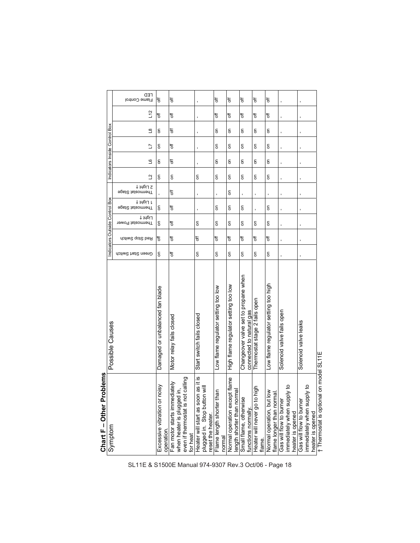| roblems<br>Chart F-Other Pr                                                                                   |                                                                  |                    |                 |                                |                               |                               |                               |   |               |    |                              |  |
|---------------------------------------------------------------------------------------------------------------|------------------------------------------------------------------|--------------------|-----------------|--------------------------------|-------------------------------|-------------------------------|-------------------------------|---|---------------|----|------------------------------|--|
| Symptom                                                                                                       | Possible Causes                                                  |                    |                 | Indicators Outside Control Box |                               |                               | Indicators Inside Control Box |   |               |    |                              |  |
|                                                                                                               |                                                                  | Green Start Switch | Red Stop Switch | רוִ6µ4 ∔<br>Thermostat Power   | 1 14piJ 1<br>∋psi2 tsteomnenT | 2 Light †<br>∋psi2 tsteomnenT | ്വ<br>₫                       | Ľ | $\frac{8}{1}$ | 12 | <b></b> FED<br>Flame Control |  |
| Excessive vibration or noisy<br>operation.                                                                    | Damaged or unbalanced fan blade                                  | ۵                  | ₩               | $\overline{5}$                 | S                             |                               | $\overline{5}$<br>g           | δ | δ             | ₩  | ₹                            |  |
| even if thermostat is not calling<br>Fan motor starts immediately<br>≦.<br>when heater is plugged<br>for heat | Motor relay fails closed                                         | ₹                  | ₩               | đ                              | ₩                             | đ                             | đ<br>$\overline{5}$           | ₹ | đ             | ₩  | đ                            |  |
| Heater will start as soon as it is<br>plugged in. Stop button will<br>eset the heater.                        | Start switch fails closed                                        | $\mathsf{S}$       | đ               | $\overline{5}$                 |                               |                               | ı<br>$\mathsf{S}$             |   |               |    |                              |  |
| Flame length shorter than<br>normal                                                                           | Low flame regulator setting too low                              | S                  | ₩               | δ                              | g                             |                               | g<br>g                        | g | g             | ₩  | Ρp                           |  |
| Normal operation except flame<br>πai                                                                          | High flame regulator setting too low                             | δ                  | ₩               | δ                              | S                             | δ                             | δ<br>g                        | δ | g             | ₩  | t                            |  |
| length shorter than norr<br>Small flame, otherwise<br>functions normally.                                     | Changeover valve set to propane when<br>connected to natural gas | δ                  | 5f              | δ                              | S                             |                               | g<br>g                        | g | g             | ₩  | t                            |  |
| high<br>Heater will never go to<br>flame.                                                                     | Thermostat stage 2 fails open                                    | $\overline{5}$     | ₹               | δ                              |                               |                               | δ<br>S                        | g | g             | ₹  | t                            |  |
| Normal operation, but low<br>flame longer than normal.                                                        | Low flame regulator setting too high                             | δ                  | ₹               | $\overline{5}$                 | g                             |                               | δ<br>g                        | S | g             | ₹  | ₹                            |  |
| immediately when supply to<br>heater is opened<br>Gas will flow to burner                                     | Solenoid valve fails open                                        |                    |                 |                                |                               |                               |                               |   |               |    |                              |  |
| immediately when supply to<br>Gas will flow to burner<br>heater is opened                                     | Solenoid valve leaks                                             |                    |                 | ı                              |                               |                               | 1                             |   |               |    |                              |  |
| † Thermostat is optional on model SL11E                                                                       |                                                                  |                    |                 |                                |                               |                               |                               |   |               |    |                              |  |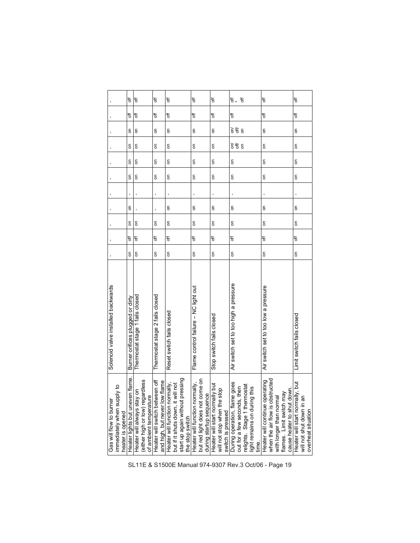|                                                                           | 5f                               | đ                                                                                                | t                                                                                         | 5f                                                                                                     | t                                                                                   | t                                                                                               | <sup>1</sup><br>₩,                                                                                                       |                                          | đ                                                                 |                               |                                                            | đ                               |                                                |
|---------------------------------------------------------------------------|----------------------------------|--------------------------------------------------------------------------------------------------|-------------------------------------------------------------------------------------------|--------------------------------------------------------------------------------------------------------|-------------------------------------------------------------------------------------|-------------------------------------------------------------------------------------------------|--------------------------------------------------------------------------------------------------------------------------|------------------------------------------|-------------------------------------------------------------------|-------------------------------|------------------------------------------------------------|---------------------------------|------------------------------------------------|
|                                                                           | 5f                               | đ                                                                                                | ₹                                                                                         | 5f                                                                                                     | đ                                                                                   | t                                                                                               | t                                                                                                                        |                                          | t                                                                 |                               |                                                            | <sup>1</sup>                    |                                                |
|                                                                           | $\overline{5}$                   | $\overline{5}$                                                                                   | δ                                                                                         | 6                                                                                                      | 6                                                                                   | δ                                                                                               | ξ<br>$\epsilon$                                                                                                          |                                          | g                                                                 |                               |                                                            | δ                               |                                                |
|                                                                           | 5                                | $\overline{5}$                                                                                   | $\overline{\delta}$                                                                       | 6                                                                                                      | 6                                                                                   | δ                                                                                               | $\widetilde{\vec{e}}$<br>$\overline{\bf{5}}$                                                                             |                                          | g                                                                 |                               |                                                            | 6                               |                                                |
|                                                                           | $\overline{5}$                   | S                                                                                                | δ                                                                                         | 6                                                                                                      | δ                                                                                   | δ                                                                                               | δ                                                                                                                        |                                          | g                                                                 |                               |                                                            | δ                               |                                                |
|                                                                           | 5                                | δ                                                                                                | $\overline{\delta}$                                                                       | 6                                                                                                      | 6                                                                                   | δ                                                                                               | δ                                                                                                                        |                                          | 6                                                                 |                               |                                                            | $\overline{\delta}$             |                                                |
|                                                                           |                                  |                                                                                                  |                                                                                           |                                                                                                        |                                                                                     |                                                                                                 |                                                                                                                          |                                          |                                                                   |                               |                                                            |                                 |                                                |
|                                                                           | 6                                |                                                                                                  |                                                                                           | 6                                                                                                      | 6                                                                                   | δ                                                                                               | δ                                                                                                                        |                                          | g                                                                 |                               |                                                            | g                               |                                                |
|                                                                           | δ                                | 5                                                                                                | $\overline{5}$                                                                            |                                                                                                        | δ                                                                                   | δ                                                                                               | δ                                                                                                                        |                                          | δ                                                                 |                               |                                                            | δ                               |                                                |
|                                                                           | đ                                | đ                                                                                                | ₹                                                                                         | ₹                                                                                                      | đ                                                                                   | đ                                                                                               | đ                                                                                                                        |                                          | ₩                                                                 |                               |                                                            | đ                               |                                                |
|                                                                           | δ                                | δ                                                                                                | $\overline{5}$                                                                            | δ                                                                                                      | $\overline{5}$                                                                      | δ                                                                                               | δ                                                                                                                        |                                          | ε                                                                 |                               |                                                            | $\overline{5}$                  |                                                |
| Solenoid valve installed backwards                                        | Burner orifices plugged or dirty | Thermostat stage 1 fails closed                                                                  | Thermostat stage 2 fails closed                                                           | Reset switch fails closed                                                                              | Flame control failure - NC light out                                                | Stop switch fails closed                                                                        | Air switch set to too high a pressure                                                                                    |                                          | Air switch set to too low a pressure                              |                               |                                                            | Limit switch fails closed       |                                                |
| immediately when supply to<br>Gas will flow to burner<br>heater is opened |                                  | Heater lights but uneven flame.<br>Heater will always stay on<br>(either high or low) regardless | of ambient temperature<br>Heater will switch between off<br>and high, but never low flame | start up again without pressing<br>Heater will function normally,<br>but if it shuts down, it will not | but red light does not come on<br>the stop switch<br>Heater will function normally, | lly but<br>will not stop when the stop<br>during startup sequence<br>Heater will start normally | a goes<br>relights. Stage 1 thermostat<br>then<br>switch is pressed<br>During operation, flame<br>out for a few seconds, | this<br>light remains on during<br>time. | when the air flow is obstructed<br>Heater will continue operating | λĔ<br>with longer than normal | jwn.<br>flames. Limit switch ma<br>cause heater to shut do | Heater will start normally, but | will not shut down in ar<br>overheat situation |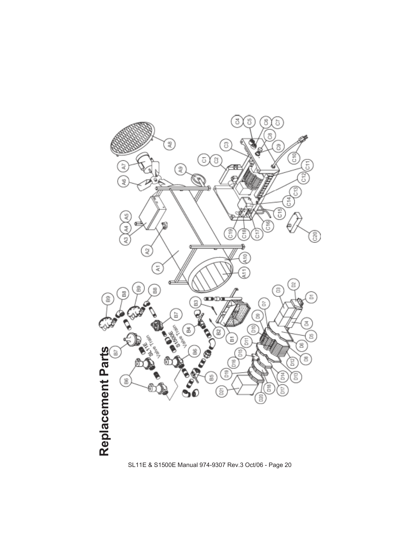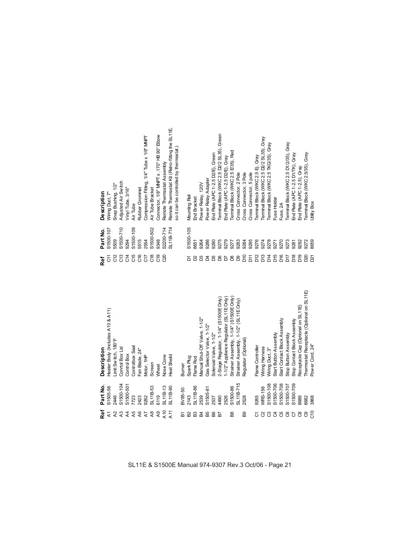| Strainer Assembly, 1-1/4" (S1500E Only)<br>1-1/2" Appliance Regulator (SL11E Only)<br>2-Stage Regulator, 1-1/4" (S1500E Only)<br>Strainer Assembly, 1-1/2" (SL11E Only)<br>Receptacle Cap (Optional on SL11E)<br>Heater Body (Includes A10 & A11)<br>Vanual Shut-Off Valve, 1-1/2"<br>Start Contact Block Assembly<br>Stop Contact Block Assembly<br>Gas Selector Valve, 1-1/2"<br>Solenoid Valve, 1-1/2"<br>Start Button Assembly<br>Stop Button Assembly<br>Regulator (Optional)<br>init Switch, 180°F<br>Flame Controller<br>Controlbox Seal<br><b>Niring Harness</b><br>Description<br>Conrtol Box Lid<br>Niring Duct, 3"<br>Fan Blade, 24"<br>Control Box<br><b>leat Sheild</b><br><b>Vose Cone</b><br>Motor, 1HP<br>Spark Plug<br>Flame Rod<br>Screen<br><b>Burner</b><br>Wheel | SL11B-715<br>S1500-104<br>S1500-108<br>S1500-706<br>S1500-708<br>S1500-709<br>\$1500-501<br>S1500-707<br>Part No.<br>\$1500-86<br>S1505-56<br>SL11B-53<br>SL11B-13<br>SL11B-90<br>SL11B-86<br><b>WRS-156</b><br>S1505-81<br>BV85-50<br>6119<br>2446<br>2143<br>2539<br>7723<br>2423<br>9262<br>4490<br>2526<br>9265<br>2528<br>2537 |
|---------------------------------------------------------------------------------------------------------------------------------------------------------------------------------------------------------------------------------------------------------------------------------------------------------------------------------------------------------------------------------------------------------------------------------------------------------------------------------------------------------------------------------------------------------------------------------------------------------------------------------------------------------------------------------------------------------------------------------------------------------------------------------------|-------------------------------------------------------------------------------------------------------------------------------------------------------------------------------------------------------------------------------------------------------------------------------------------------------------------------------------|
|                                                                                                                                                                                                                                                                                                                                                                                                                                                                                                                                                                                                                                                                                                                                                                                       | 8686                                                                                                                                                                                                                                                                                                                                |

RARARARARA<br>RARARARARA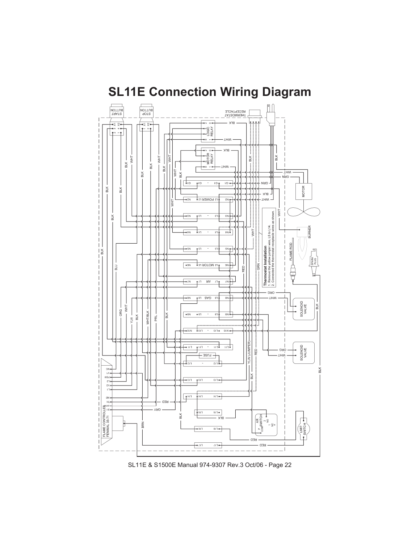

## **SL11E Connection Wiring Diagram**

SL11E & S1500E Manual 974-9307 Rev.3 Oct/06 - Page 22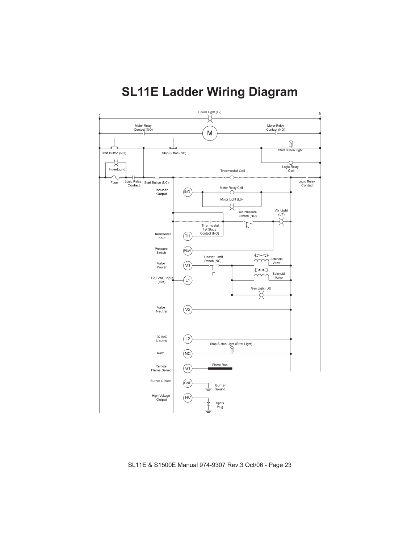

## **SL11E Ladder Wiring Diagram**

SL11E & S1500E Manual 974-9307 Rev.3 Oct/06 - Page 23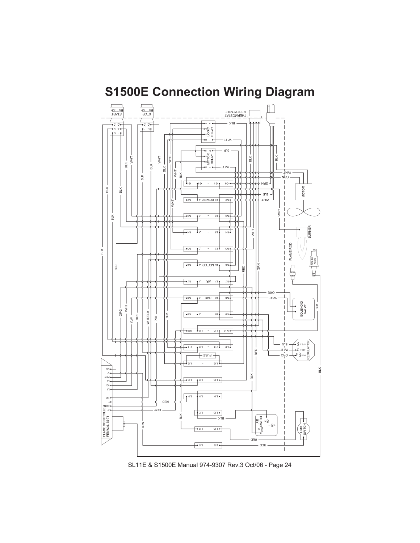

## **S1500E Connection Wiring Diagram**

SL11E & S1500E Manual 974-9307 Rev.3 Oct/06 - Page 24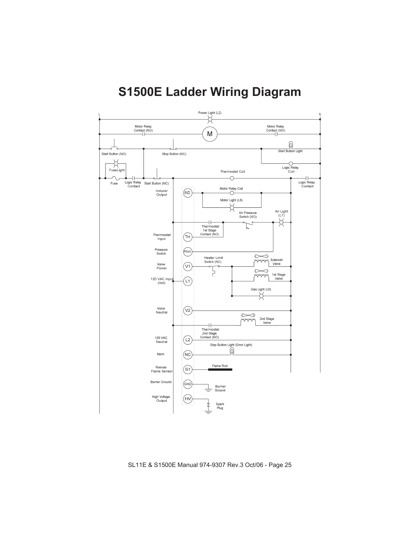### **S1500E Ladder Wiring Diagram**



SL11E & S1500E Manual 974-9307 Rev.3 Oct/06 - Page 25